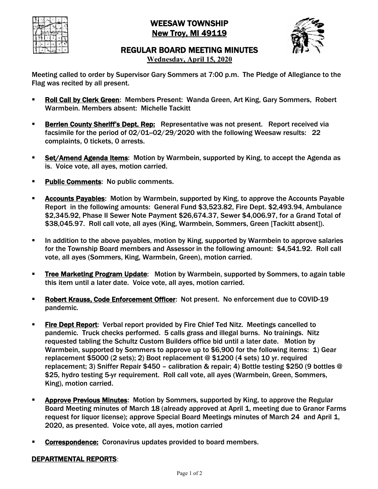

# WEESAW TOWNSHIP New Troy, MI 49119



## REGULAR BOARD MEETING MINUTES

**Wednesday, April 15, 2020**

Meeting called to order by Supervisor Gary Sommers at 7:00 p.m. The Pledge of Allegiance to the Flag was recited by all present.

- **Roll Call by Clerk Green:** Members Present: Wanda Green, Art King, Gary Sommers, Robert Warmbein. Members absent: Michelle Tackitt
- **Berrien County Sheriff's Dept. Rep:** Representative was not present. Report received via facsimile for the period of 02/01-02/29/2020 with the following Weesaw results: 22 complaints, 0 tickets, 0 arrests.
- **Set/Amend Agenda Items:** Motion by Warmbein, supported by King, to accept the Agenda as is. Voice vote, all ayes, motion carried.
- **Public Comments: No public comments.**
- **Accounts Payables:** Motion by Warmbein, supported by King, to approve the Accounts Payable Report in the following amounts: General Fund \$3,523.82, Fire Dept. \$2,493.94, Ambulance \$2,345.92, Phase II Sewer Note Payment \$26,674.37, Sewer \$4,006.97, for a Grand Total of \$38,045.97. Roll call vote, all ayes (King, Warmbein, Sommers, Green [Tackitt absent]).
- In addition to the above payables, motion by King, supported by Warmbein to approve salaries for the Township Board members and Assessor in the following amount: \$4,541.92. Roll call vote, all ayes (Sommers, King, Warmbein, Green), motion carried.
- **Tree Marketing Program Update:** Motion by Warmbein, supported by Sommers, to again table this item until a later date. Voice vote, all ayes, motion carried.
- § Robert Krauss, Code Enforcement Officer: Not present. No enforcement due to COVID-19 pandemic.
- **Fire Dept Report:** Verbal report provided by Fire Chief Ted Nitz. Meetings cancelled to pandemic. Truck checks performed. 5 calls grass and illegal burns. No trainings. Nitz requested tabling the Schultz Custom Builders office bid until a later date. Motion by Warmbein, supported by Sommers to approve up to \$6,900 for the following items: 1) Gear replacement \$5000 (2 sets); 2) Boot replacement @ \$1200 (4 sets) 10 yr. required replacement; 3) Sniffer Repair \$450 – calibration & repair; 4) Bottle testing \$250 (9 bottles @ \$25, hydro testing 5-yr requirement. Roll call vote, all ayes (Warmbein, Green, Sommers, King), motion carried.
- **Approve Previous Minutes:** Motion by Sommers, supported by King, to approve the Regular Board Meeting minutes of March 18 (already approved at April 1, meeting due to Granor Farms request for liquor license); approve Special Board Meetings minutes of March 24 and April 1, 2020, as presented. Voice vote, all ayes, motion carried
- Correspondence: Coronavirus updates provided to board members.

### DEPARTMENTAL REPORTS: